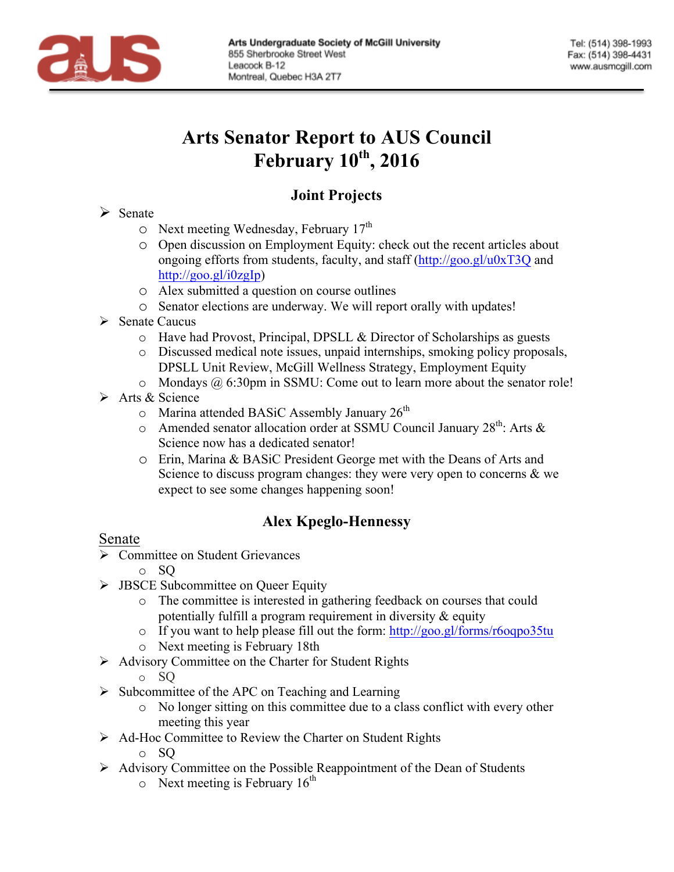

# **Arts Senator Report to AUS Council February 10th, 2016**

# **Joint Projects**

#### $\triangleright$  Senate

- o Next meeting Wednesday, February 17th
- o Open discussion on Employment Equity: check out the recent articles about ongoing efforts from students, faculty, and staff (http://goo.gl/u0xT3Q and http://goo.gl/i0zgIp)
- o Alex submitted a question on course outlines
- o Senator elections are underway. We will report orally with updates!
- $\triangleright$  Senate Caucus
	- o Have had Provost, Principal, DPSLL & Director of Scholarships as guests
	- o Discussed medical note issues, unpaid internships, smoking policy proposals, DPSLL Unit Review, McGill Wellness Strategy, Employment Equity
	- $\circ$  Mondays @ 6:30pm in SSMU: Come out to learn more about the senator role!
- $\triangleright$  Arts & Science
	- $\circ$  Marina attended BASiC Assembly January 26<sup>th</sup>
	- o Amended senator allocation order at SSMU Council January  $28^{th}$ : Arts & Science now has a dedicated senator!
	- o Erin, Marina & BASiC President George met with the Deans of Arts and Science to discuss program changes: they were very open to concerns & we expect to see some changes happening soon!

## **Alex Kpeglo-Hennessy**

## Senate

- $\triangleright$  Committee on Student Grievances
	- o SQ
- $\triangleright$  JBSCE Subcommittee on Queer Equity
	- o The committee is interested in gathering feedback on courses that could potentially fulfill a program requirement in diversity  $\&$  equity
	- o If you want to help please fill out the form:  $\frac{http://goo.gl/forms/roogpo35tu}{http://goo.gl/forms/roogpo35tu}$
	- o Next meeting is February 18th
- Ø Advisory Committee on the Charter for Student Rights
	- o SQ
- $\triangleright$  Subcommittee of the APC on Teaching and Learning
	- o No longer sitting on this committee due to a class conflict with every other meeting this year
- Ø Ad-Hoc Committee to Review the Charter on Student Rights
	- o SQ
- Ø Advisory Committee on the Possible Reappointment of the Dean of Students
	- $\circ$  Next meeting is February 16<sup>th</sup>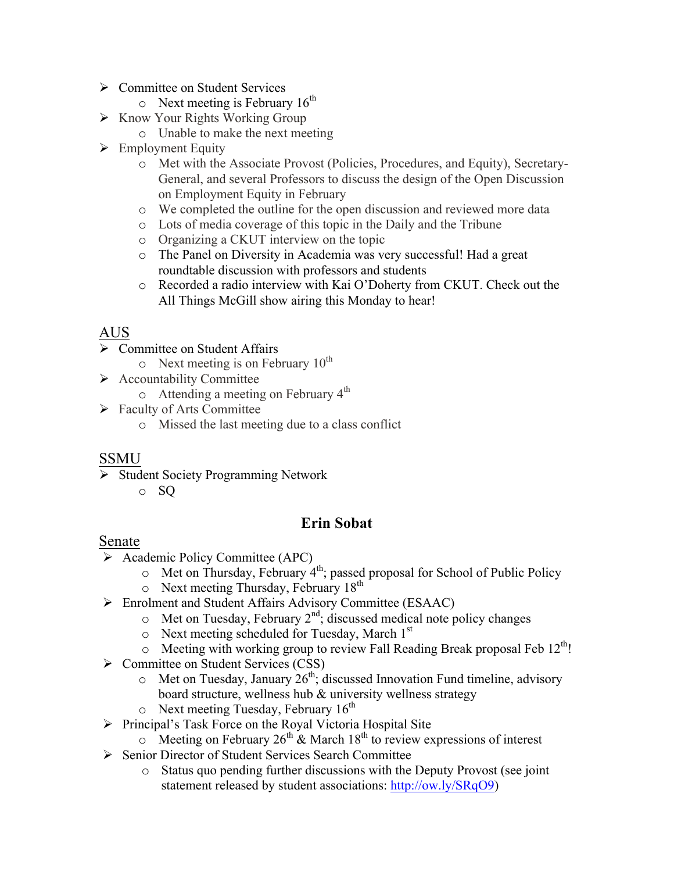- $\triangleright$  Committee on Student Services
	- $\circ$  Next meeting is February 16<sup>th</sup>
- $\triangleright$  Know Your Rights Working Group
	- o Unable to make the next meeting
- $\triangleright$  Employment Equity
	- o Met with the Associate Provost (Policies, Procedures, and Equity), Secretary-General, and several Professors to discuss the design of the Open Discussion on Employment Equity in February
	- o We completed the outline for the open discussion and reviewed more data
	- o Lots of media coverage of this topic in the Daily and the Tribune
	- o Organizing a CKUT interview on the topic
	- o The Panel on Diversity in Academia was very successful! Had a great roundtable discussion with professors and students
	- o Recorded a radio interview with Kai O'Doherty from CKUT. Check out the All Things McGill show airing this Monday to hear!

# AUS

- $\triangleright$  Committee on Student Affairs
	- $\circ$  Next meeting is on February 10<sup>th</sup>
- $\triangleright$  Accountability Committee
	- $\circ$  Attending a meeting on February 4<sup>th</sup>
- $\triangleright$  Faculty of Arts Committee
	- o Missed the last meeting due to a class conflict

#### SSMU

- Ø Student Society Programming Network
	- o SQ

## **Erin Sobat**

#### Senate

- Ø Academic Policy Committee (APC)
	- $\circ$  Met on Thursday, February 4<sup>th</sup>; passed proposal for School of Public Policy
	- $\circ$  Next meeting Thursday, February 18<sup>th</sup>
- Ø Enrolment and Student Affairs Advisory Committee (ESAAC)
	- $\circ$  Met on Tuesday, February 2<sup>nd</sup>; discussed medical note policy changes
	- $\circ$  Next meeting scheduled for Tuesday, March 1<sup>st</sup>
	- $\circ$  Meeting with working group to review Fall Reading Break proposal Feb 12<sup>th</sup>!
- Ø Committee on Student Services (CSS)
	- $\circ$  Met on Tuesday, January 26<sup>th</sup>; discussed Innovation Fund timeline, advisory board structure, wellness hub & university wellness strategy
	- $\circ$  Next meeting Tuesday, February 16<sup>th</sup>
- Ø Principal's Task Force on the Royal Victoria Hospital Site
	- $\circ$  Meeting on February 26<sup>th</sup> & March 18<sup>th</sup> to review expressions of interest
- Ø Senior Director of Student Services Search Committee
	- o Status quo pending further discussions with the Deputy Provost (see joint statement released by student associations: http://ow.ly/SRqO9)